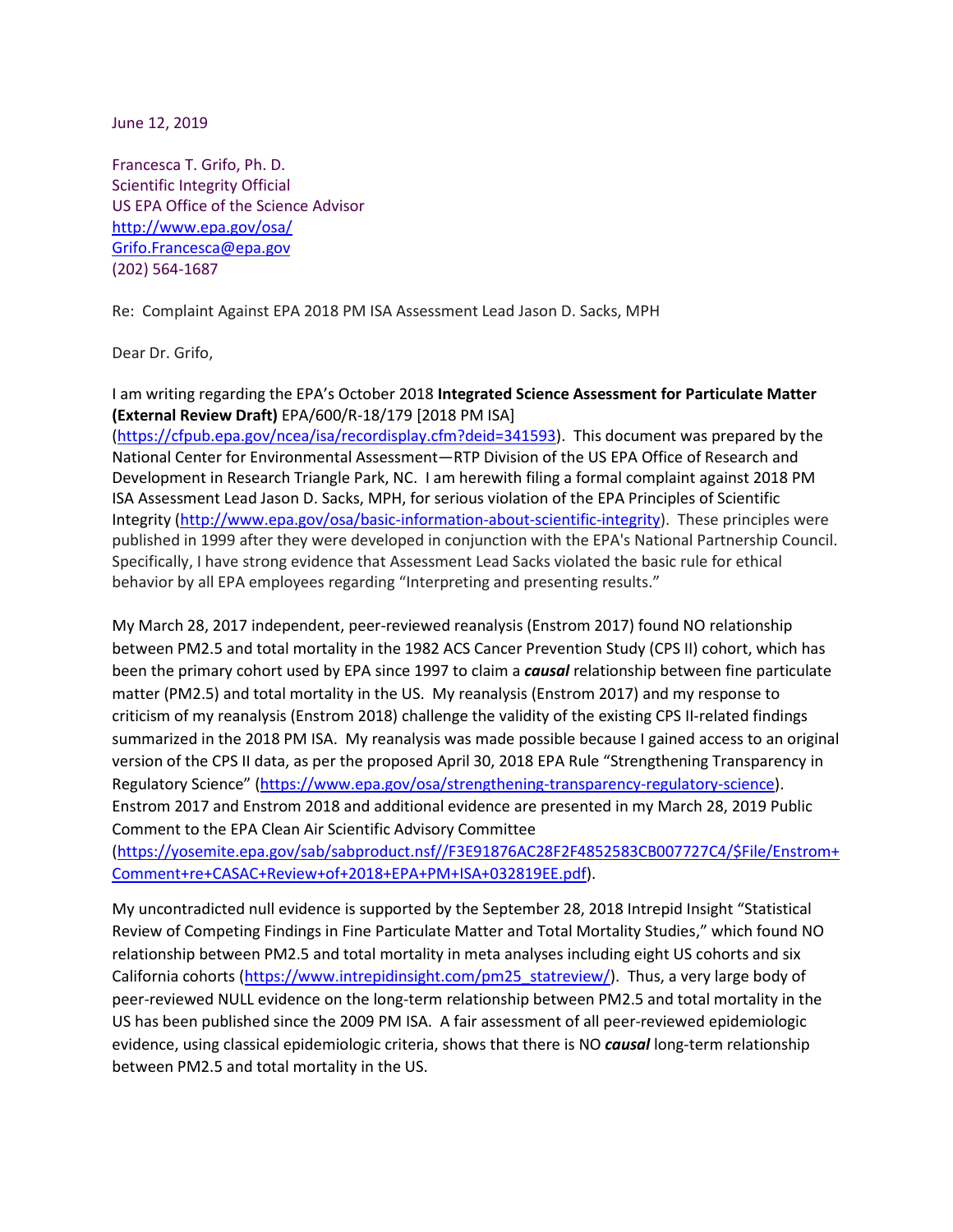June 12, 2019

Francesca T. Grifo, Ph. D. Scientific Integrity Official US EPA Office of the Science Advisor <http://www.epa.gov/osa/> [Grifo.Francesca@epa.gov](mailto:Grifo.Francesca@epa.gov) (202) 564-1687

Re: Complaint Against EPA 2018 PM ISA Assessment Lead Jason D. Sacks, MPH

Dear Dr. Grifo,

I am writing regarding the EPA's October 2018 **Integrated Science Assessment for Particulate Matter (External Review Draft)** EPA/600/R-18/179 [2018 PM ISA]

[\(https://cfpub.epa.gov/ncea/isa/recordisplay.cfm?deid=341593\)](https://cfpub.epa.gov/ncea/isa/recordisplay.cfm?deid=341593). This document was prepared by the National Center for Environmental Assessment―RTP Division of the US EPA Office of Research and Development in Research Triangle Park, NC. I am herewith filing a formal complaint against 2018 PM ISA Assessment Lead Jason D. Sacks, MPH, for serious violation of the EPA Principles of Scientific Integrity [\(http://www.epa.gov/osa/basic-information-about-scientific-integrity\)](http://www.epa.gov/osa/basic-information-about-scientific-integrity). These principles were published in 1999 after they were developed in conjunction with the EPA's National Partnership Council. Specifically, I have strong evidence that Assessment Lead Sacks violated the basic rule for ethical behavior by all EPA employees regarding "Interpreting and presenting results."

My March 28, 2017 independent, peer-reviewed reanalysis (Enstrom 2017) found NO relationship between PM2.5 and total mortality in the 1982 ACS Cancer Prevention Study (CPS II) cohort, which has been the primary cohort used by EPA since 1997 to claim a *causal* relationship between fine particulate matter (PM2.5) and total mortality in the US. My reanalysis (Enstrom 2017) and my response to criticism of my reanalysis (Enstrom 2018) challenge the validity of the existing CPS II-related findings summarized in the 2018 PM ISA. My reanalysis was made possible because I gained access to an original version of the CPS II data, as per the proposed April 30, 2018 EPA Rule "Strengthening Transparency in Regulatory Science" [\(https://www.epa.gov/osa/strengthening-transparency-regulatory-science\)](https://www.epa.gov/osa/strengthening-transparency-regulatory-science). Enstrom 2017 and Enstrom 2018 and additional evidence are presented in my March 28, 2019 Public Comment to the EPA Clean Air Scientific Advisory Committee

[\(https://yosemite.epa.gov/sab/sabproduct.nsf//F3E91876AC28F2F4852583CB007727C4/\\$File/Enstrom+](https://yosemite.epa.gov/sab/sabproduct.nsf/F3E91876AC28F2F4852583CB007727C4/$File/Enstrom+Comment+re+CASAC+Review+of+2018+EPA+PM+ISA+032819EE.pdf) [Comment+re+CASAC+Review+of+2018+EPA+PM+ISA+032819EE.pdf\)](https://yosemite.epa.gov/sab/sabproduct.nsf/F3E91876AC28F2F4852583CB007727C4/$File/Enstrom+Comment+re+CASAC+Review+of+2018+EPA+PM+ISA+032819EE.pdf).

My uncontradicted null evidence is supported by the September 28, 2018 Intrepid Insight "Statistical Review of Competing Findings in Fine Particulate Matter and Total Mortality Studies," which found NO relationship between PM2.5 and total mortality in meta analyses including eight US cohorts and six California cohorts [\(https://www.intrepidinsight.com/pm25\\_statreview/\)](https://www.intrepidinsight.com/pm25_statreview/). Thus, a very large body of peer-reviewed NULL evidence on the long-term relationship between PM2.5 and total mortality in the US has been published since the 2009 PM ISA. A fair assessment of all peer-reviewed epidemiologic evidence, using classical epidemiologic criteria, shows that there is NO *causal* long-term relationship between PM2.5 and total mortality in the US.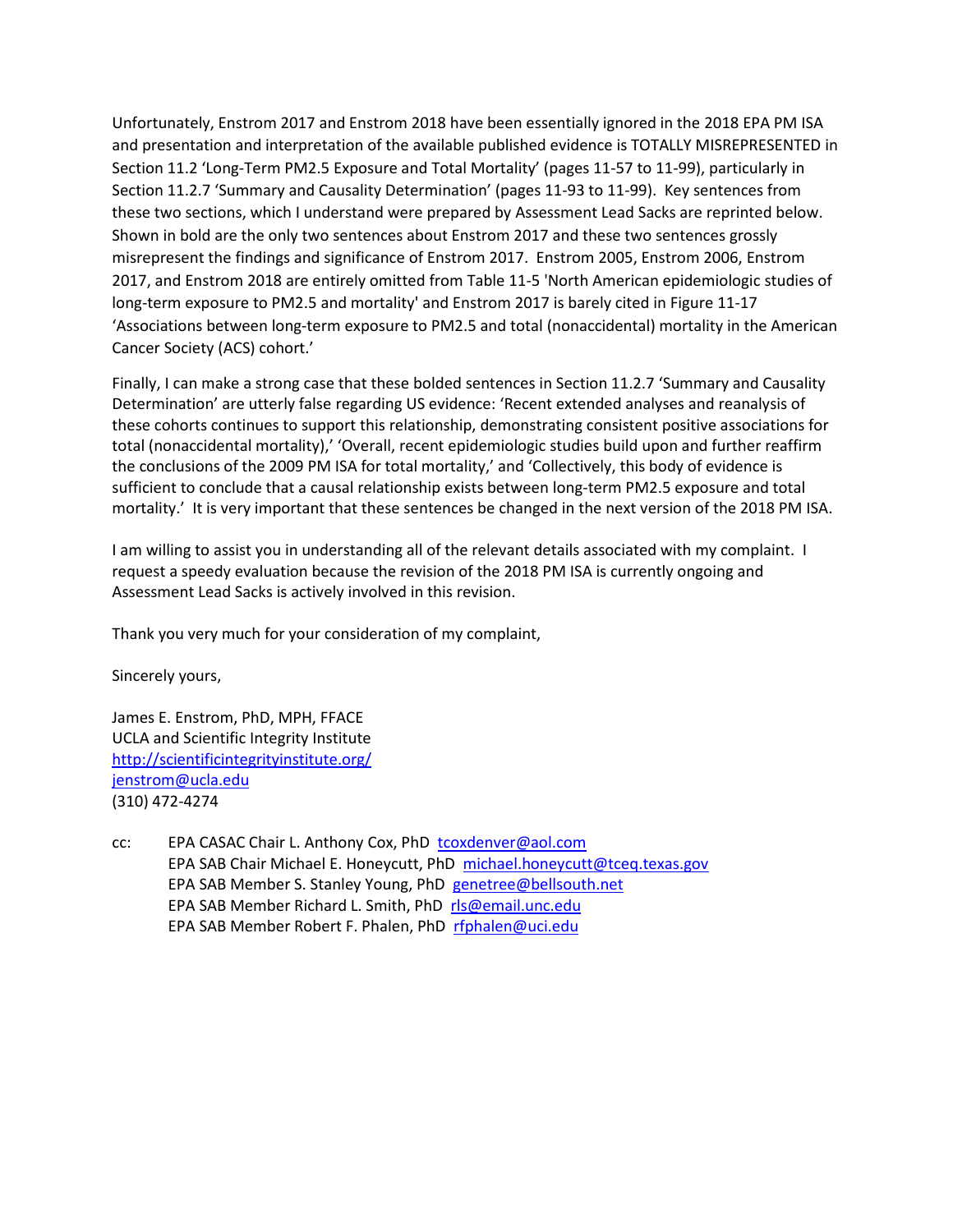Unfortunately, Enstrom 2017 and Enstrom 2018 have been essentially ignored in the 2018 EPA PM ISA and presentation and interpretation of the available published evidence is TOTALLY MISREPRESENTED in Section 11.2 'Long-Term PM2.5 Exposure and Total Mortality' (pages 11-57 to 11-99), particularly in Section 11.2.7 'Summary and Causality Determination' (pages 11-93 to 11-99). Key sentences from these two sections, which I understand were prepared by Assessment Lead Sacks are reprinted below. Shown in bold are the only two sentences about Enstrom 2017 and these two sentences grossly misrepresent the findings and significance of Enstrom 2017. Enstrom 2005, Enstrom 2006, Enstrom 2017, and Enstrom 2018 are entirely omitted from Table 11-5 'North American epidemiologic studies of long-term exposure to PM2.5 and mortality' and Enstrom 2017 is barely cited in Figure 11-17 'Associations between long-term exposure to PM2.5 and total (nonaccidental) mortality in the American Cancer Society (ACS) cohort.'

Finally, I can make a strong case that these bolded sentences in Section 11.2.7 'Summary and Causality Determination' are utterly false regarding US evidence: 'Recent extended analyses and reanalysis of these cohorts continues to support this relationship, demonstrating consistent positive associations for total (nonaccidental mortality),' 'Overall, recent epidemiologic studies build upon and further reaffirm the conclusions of the 2009 PM ISA for total mortality,' and 'Collectively, this body of evidence is sufficient to conclude that a causal relationship exists between long-term PM2.5 exposure and total mortality.' It is very important that these sentences be changed in the next version of the 2018 PM ISA.

I am willing to assist you in understanding all of the relevant details associated with my complaint. I request a speedy evaluation because the revision of the 2018 PM ISA is currently ongoing and Assessment Lead Sacks is actively involved in this revision.

Thank you very much for your consideration of my complaint,

Sincerely yours,

James E. Enstrom, PhD, MPH, FFACE UCLA and Scientific Integrity Institute <http://scientificintegrityinstitute.org/> [jenstrom@ucla.edu](mailto:jenstrom@ucla.edu) (310) 472-4274

cc: EPA CASAC Chair L. Anthony Cox, PhD [tcoxdenver@aol.com](mailto:tcoxdenver@aol.com) EPA SAB Chair Michael E. Honeycutt, PhD [michael.honeycutt@tceq.texas.gov](mailto:michael.honeycutt@tceq.texas.gov) EPA SAB Member S. Stanley Young, PhD [genetree@bellsouth.net](mailto:genetree@bellsouth.net) EPA SAB Member Richard L. Smith, PhD [rls@email.unc.edu](mailto:rls@email.unc.edu) EPA SAB Member Robert F. Phalen, PhD [rfphalen@uci.edu](mailto:rfphalen@uci.edu)